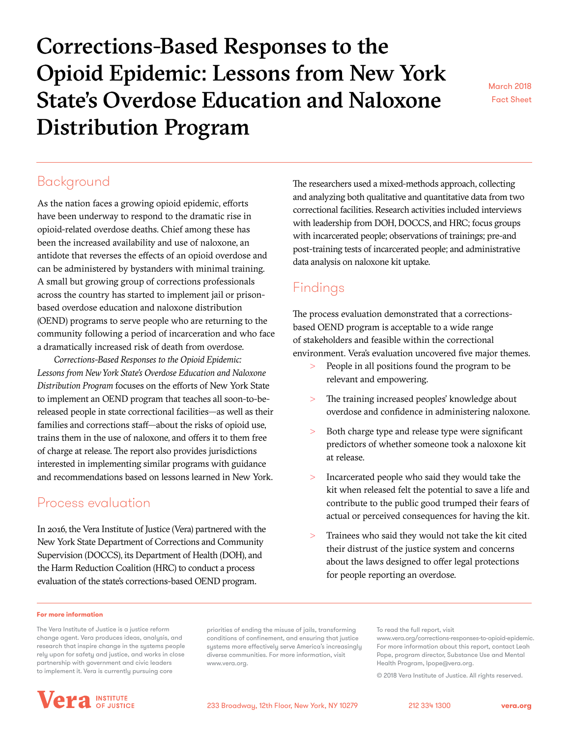# Corrections-Based Responses to the Opioid Epidemic: Lessons from New York State's Overdose Education and Naloxone Distribution Program

March 2018 Fact Sheet

# Background

As the nation faces a growing opioid epidemic, efforts have been underway to respond to the dramatic rise in opioid-related overdose deaths. Chief among these has been the increased availability and use of naloxone, an antidote that reverses the effects of an opioid overdose and can be administered by bystanders with minimal training. A small but growing group of corrections professionals across the country has started to implement jail or prisonbased overdose education and naloxone distribution (OEND) programs to serve people who are returning to the community following a period of incarceration and who face a dramatically increased risk of death from overdose.

*Corrections-Based Responses to the Opioid Epidemic: Lessons from New York State's Overdose Education and Naloxone Distribution Program* focuses on the efforts of New York State to implement an OEND program that teaches all soon-to-bereleased people in state correctional facilities—as well as their families and corrections staff—about the risks of opioid use, trains them in the use of naloxone, and offers it to them free of charge at release. The report also provides jurisdictions interested in implementing similar programs with guidance and recommendations based on lessons learned in New York.

# Process evaluation

In 2016, the Vera Institute of Justice (Vera) partnered with the New York State Department of Corrections and Community Supervision (DOCCS), its Department of Health (DOH), and the Harm Reduction Coalition (HRC) to conduct a process evaluation of the state's corrections-based OEND program.

The researchers used a mixed-methods approach, collecting and analyzing both qualitative and quantitative data from two correctional facilities. Research activities included interviews with leadership from DOH, DOCCS, and HRC; focus groups with incarcerated people; observations of trainings; pre-and post-training tests of incarcerated people; and administrative data analysis on naloxone kit uptake.

# Findings

The process evaluation demonstrated that a correctionsbased OEND program is acceptable to a wide range of stakeholders and feasible within the correctional environment. Vera's evaluation uncovered five major themes.

- People in all positions found the program to be relevant and empowering.
- > The training increased peoples' knowledge about overdose and confidence in administering naloxone.
- Both charge type and release type were significant predictors of whether someone took a naloxone kit at release.
- > Incarcerated people who said they would take the kit when released felt the potential to save a life and contribute to the public good trumped their fears of actual or perceived consequences for having the kit.
- Trainees who said they would not take the kit cited their distrust of the justice system and concerns about the laws designed to offer legal protections for people reporting an overdose.

#### **For more information**

The Vera Institute of Justice is a justice reform change agent. Vera produces ideas, analysis, and research that inspire change in the systems people rely upon for safety and justice, and works in close partnership with government and civic leaders to implement it. Vera is currently pursuing core

priorities of ending the misuse of jails, transforming conditions of confinement, and ensuring that justice systems more effectively serve America's increasingly diverse communities. For more information, visit www.vera.org.

To read the full report, visit

© 2018 Vera Institute of Justice. All rights reserved.



<www.vera.org/corrections-responses-to-opioid-epidemic>. For more information about this report, contact Leah Pope, program director, Substance Use and Mental Health Program, lpope@vera.org.